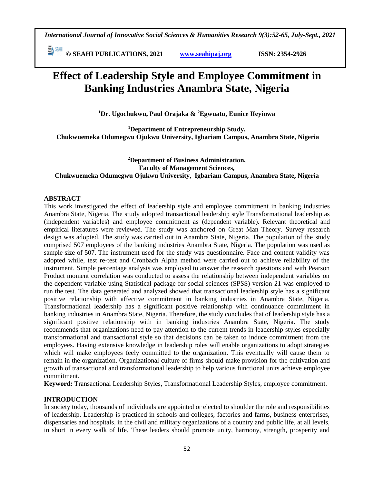**© SEAHI PUBLICATIONS, 2021 [www.seahipaj.org](http://www.seahipaj.org/) ISSN: 2354-2926** 

# **Effect of Leadership Style and Employee Commitment in Banking Industries Anambra State, Nigeria**

**<sup>1</sup>Dr. Ugochukwu, Paul Orajaka & <sup>2</sup>Egwuatu, Eunice Ifeyinwa**

**<sup>1</sup>Department of Entrepreneurship Study, Chukwuemeka Odumegwu Ojukwu University, Igbariam Campus, Anambra State, Nigeria**

# **<sup>2</sup>Department of Business Administration, Faculty of Management Sciences, Chukwuemeka Odumegwu Ojukwu University, Igbariam Campus, Anambra State, Nigeria**

# **ABSTRACT**

This work investigated the effect of leadership style and employee commitment in banking industries Anambra State, Nigeria. The study adopted transactional leadership style Transformational leadership as (independent variables) and employee commitment as (dependent variable). Relevant theoretical and empirical literatures were reviewed. The study was anchored on Great Man Theory. Survey research design was adopted. The study was carried out in Anambra State, Nigeria. The population of the study comprised 507 employees of the banking industries Anambra State, Nigeria. The population was used as sample size of 507. The instrument used for the study was questionnaire. Face and content validity was adopted while, test re-test and Cronbach Alpha method were carried out to achieve reliability of the instrument. Simple percentage analysis was employed to answer the research questions and with Pearson Product moment correlation was conducted to assess the relationship between independent variables on the dependent variable using Statistical package for social sciences (SPSS) version 21 was employed to run the test. The data generated and analyzed showed that transactional leadership style has a significant positive relationship with affective commitment in banking industries in Anambra State, Nigeria. Transformational leadership has a significant positive relationship with continuance commitment in banking industries in Anambra State, Nigeria. Therefore, the study concludes that of leadership style has a significant positive relationship with in banking industries Anambra State, Nigeria. The study recommends that organizations need to pay attention to the current trends in leadership styles especially transformational and transactional style so that decisions can be taken to induce commitment from the employees. Having extensive knowledge in leadership roles will enable organizations to adopt strategies which will make employees feely committed to the organization. This eventually will cause them to remain in the organization. Organizational culture of firms should make provision for the cultivation and growth of transactional and transformational leadership to help various functional units achieve employee commitment.

**Keyword:** Transactional Leadership Styles, Transformational Leadership Styles, employee commitment.

# **INTRODUCTION**

In society today, thousands of individuals are appointed or elected to shoulder the role and responsibilities of leadership. Leadership is practiced in schools and colleges, factories and farms, business enterprises, dispensaries and hospitals, in the civil and military organizations of a country and public life, at all levels, in short in every walk of life. These leaders should promote unity, harmony, strength, prosperity and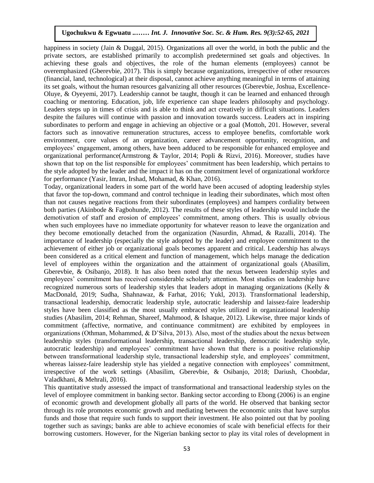happiness in society (Jain & Duggal, 2015). Organizations all over the world, in both the public and the private sectors, are established primarily to accomplish predetermined set goals and objectives. In achieving these goals and objectives, the role of the human elements (employees) cannot be achieving these goals and objectives, the role of the human elements (employees) cannot be overemphasized (Gberevbie, 2017). This is simply because organizations, irrespective of other resources (financial, land, technological) at their disposal, cannot achieve anything meaningful in terms of attaining its set goals, without the human resources galvanizing all other resources (Gberevbie, Joshua, Excellence-Oluye, & Oyeyemi, 2017). Leadership cannot be taught, though it can be learned and enhanced through coaching or mentoring. Education, job, life experience can shape leaders philosophy and psychology. Leaders steps up in times of crisis and is able to think and act creatively in difficult situations. Leaders despite the failures will continue with passion and innovation towards success. Leaders act in inspiring subordinates to perform and engage in achieving an objective or a goal (Mottoh, 201. However, several factors such as innovative remuneration structures, access to employee benefits, comfortable work environment, core values of an organization, career advancement opportunity, recognition, and employees' engagement, among others, have been adduced to be responsible for enhanced employee and organizational performance(Armstrong & Taylor, 2014; Popli & Rizvi, 2016). Moreover, studies have shown that top on the list responsible for employees' commitment has been leadership, which pertains to the style adopted by the leader and the impact it has on the commitment level of organizational workforce for performance (Yasir, Imran, Irshad, Mohamad, & Khan, 2016).

Today, organizational leaders in some part of the world have been accused of adopting leadership styles that favor the top-down, command and control technique in leading their subordinates, which most often than not causes negative reactions from their subordinates (employees) and hampers cordiality between both parties (Akinbode & Fagbohunde, 2012). The results of these styles of leadership would include the demotivation of staff and erosion of employees' commitment, among others. This is usually obvious when such employees have no immediate opportunity for whatever reason to leave the organization and they become emotionally detached from the organization (Nasurdin, Ahmad, & Razalli, 2014). The importance of leadership (especially the style adopted by the leader) and employee commitment to the achievement of either job or organizational goals becomes apparent and critical. Leadership has always been considered as a critical element and function of management, which helps manage the dedication level of employees within the organization and the attainment of organizational goals (Abasilim, Gberevbie, & Osibanjo, 2018). It has also been noted that the nexus between leadership styles and employees' commitment has received considerable scholarly attention. Most studies on leadership have recognized numerous sorts of leadership styles that leaders adopt in managing organizations (Kelly & MacDonald, 2019; Sudha, Shahnawaz, & Farhat, 2016; Yukl, 2013). Transformational leadership, transactional leadership, democratic leadership style, autocratic leadership and laissez-faire leadership styles have been classified as the most usually embraced styles utilized in organizational leadership studies (Abasilim, 2014; Rehman, Shareef, Mahmood, & Ishaque, 2012). Likewise, three major kinds of commitment (affective, normative, and continuance commitment) are exhibited by employees in organizations (Othman, Mohammed, & D'Silva, 2013). Also, most of the studies about the nexus between leadership styles (transformational leadership, transactional leadership, democratic leadership style, autocratic leadership) and employees' commitment have shown that there is a positive relationship between transformational leadership style, transactional leadership style, and employees' commitment, whereas laissez-faire leadership style has yielded a negative connection with employees' commitment, irrespective of the work settings (Abasilim, Gberevbie, & Osibanjo, 2018; Dariush, Choobdar, Valadkhani, & Mehrali, 2016).

This quantitative study assessed the impact of transformational and transactional leadership styles on the level of employee commitment in banking sector. Banking sector according to Ebong (2006) is an engine of economic growth and development globally all parts of the world. He observed that banking sector through its role promotes economic growth and mediating between the economic units that have surplus funds and those that require such funds to support their investment. He also pointed out that by pooling together such as savings; banks are able to achieve economies of scale with beneficial effects for their borrowing customers. However, for the Nigerian banking sector to play its vital roles of development in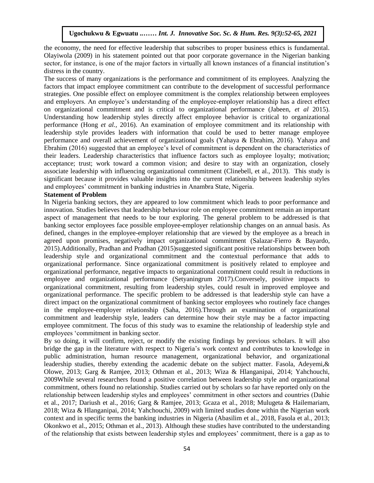the economy, the need for effective leadership that subscribes to proper business ethics is fundamental. Olayiwola (2009) in his statement pointed out that poor corporate governance in the Nigerian banking sector, for instance, is one of the major factors in virtually all known instances of a financial institution's distress in the country.

The success of many organizations is the performance and commitment of its employees. Analyzing the factors that impact employee commitment can contribute to the development of successful performance strategies. One possible effect on employee commitment is the complex relationship between employees and employers. An employee's understanding of the employee-employer relationship has a direct effect on organizational commitment and is critical to organizational performance (Jabeen, *et al* 2015). Understanding how leadership styles directly affect employee behavior is critical to organizational performance (Hong *et al.,* 2016). An examination of employee commitment and its relationship with leadership style provides leaders with information that could be used to better manage employee performance and overall achievement of organizational goals (Yahaya & Ebrahim, 2016). Yahaya and Ebrahim (2016) suggested that an employee's level of commitment is dependent on the characteristics of their leaders. Leadership characteristics that influence factors such as employee loyalty; motivation; acceptance; trust; work toward a common vision; and desire to stay with an organization, closely associate leadership with influencing organizational commitment (Clinebell, et al., 2013). This study is significant because it provides valuable insights into the current relationship between leadership styles and employees' commitment in banking industries in Anambra State, Nigeria.

#### **Statement of Problem**

Statement of Froblem<br>In Nigeria banking sectors, they are appeared to low commitment which leads to poor performance and innovation. Studies believes that leadership behaviour role on employee commitment remain an important aspect of management that needs to be tour exploring. The general problem to be addressed is that banking sector employees face possible employee-employer relationship changes on an annual basis. As defined, changes in the employee-employer relationship that are viewed by the employee as a breach in agreed upon promises, negatively impact organizational commitment (Salazar-Fierro & Bayardo, 2015).Additionally, Pradhan and Pradhan (2015)suggested significant positive relationships between both leadership style and organizational commitment and the contextual performance that adds to organizational performance. Since organizational commitment is positively related to employee and organizational performance, negative impacts to organizational commitment could result in reductions in employee and organizational performance (Setyaningrum 2017).Conversely, positive impacts to organizational commitment, resulting from leadership styles, could result in improved employee and organizational performance. The specific problem to be addressed is that leadership style can have a direct impact on the organizational commitment of banking sector employees who routinely face changes in the employee-employer relationship (Saha, 2016).Through an examination of organizational commitment and leadership style, leaders can determine how their style may be a factor impacting employee commitment. The focus of this study was to examine the relationship of leadership style and employees 'commitment in banking sector.

By so doing, it will confirm, reject, or modify the existing findings by previous scholars. It will also bridge the gap in the literature with respect to Nigeria's work context and contributes to knowledge in public administration, human resource management, organizational behavior, and organizational leadership studies, thereby extending the academic debate on the subject matter. Fasola, Adeyemi,& Olowe, 2013; Garg & Ramjee, 2013; Othman et al., 2013; Wiza & Hlanganipai, 2014; Yahchouchi, 2009While several researchers found a positive correlation between leadership style and organizational commitment, others found no relationship. Studies carried out by scholars so far have reported only on the relationship between leadership styles and employees' commitment in other sectors and countries (Dahie et al., 2017; Dariush et al., 2016; Garg & Ramjee, 2013; Gcaza et al., 2018; Mulugeta & Hailemariam, 2018; Wiza & Hlanganipai, 2014; Yahchouchi, 2009) with limited studies done within the Nigerian work context and in specific terms the banking industries in Nigeria (Abasilim et al., 2018, Fasola et al., 2013; Okonkwo et al., 2015; Othman et al., 2013). Although these studies have contributed to the understanding of the relationship that exists between leadership styles and employees' commitment, there is a gap as to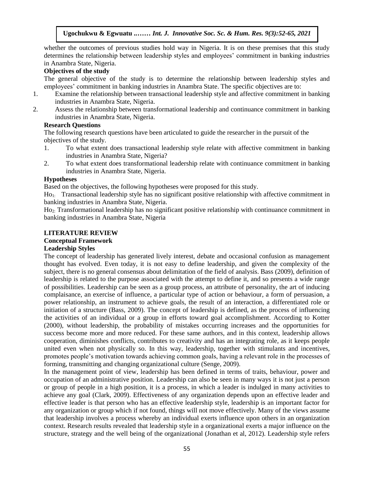whether the outcomes of previous studies hold way in Nigeria. It is on these premises that this study determines the relationship between leadership styles and employees' commitment in banking industries accommode the Company produced reaccomplexy and employees common<br>in Anambra State, Nigeria.

# **Objectives of the study**

The general objective of the study is to determine the relationship between leadership styles and employees' commitment in banking industries in Anambra State. The specific objectives are to:

- 1. Examine the relationship between transactional leadership style and affective commitment in banking industries in Anambra State, Nigeria.
- 2. Assess the relationship between transformational leadership and continuance commitment in banking industries in Anambra State, Nigeria.

# **Research Questions**

The following research questions have been articulated to guide the researcher in the pursuit of the objectives of the study.  $\frac{1}{2}$  wes or the study.

- 1. To what extent does transactional leadership style relate with affective commitment in banking industries in Anambra State, Nigeria?
- 2. To what extent does transformational leadership relate with continuance commitment in banking industries in Anambra State, Nigeria.

#### **Hypotheses**

Based on the objectives, the following hypotheses were proposed for this study.

 $H_{01}$ : Transactional leadership style has no significant positive relationship with affective commitment in  $\frac{1}{2}$ banking industries in Anambra State, Nigeria.

Ho2: Transformational leadership has no significant positive relationship with continuance commitment in banking industries in Anambra State, Nigeria

#### **LITERATURE REVIEW**

# **Conceptual Framework**

# **Leadership Styles**

The concept of leadership has generated lively interest, debate and occasional confusion as management thought has evolved. Even today, it is not easy to define leadership, and given the complexity of the subject, there is no general consensus about delimitation of the field of analysis. Bass (2009), definition of leadership is related to the purpose associated with the attempt to define it, and so presents a wide range of possibilities. Leadership can be seen as a group process, an attribute of personality, the art of inducing complaisance, an exercise of influence, a particular type of action or behaviour, a form of persuasion, a power relationship, an instrument to achieve goals, the result of an interaction, a differentiated role or initiation of a structure (Bass, 2009). The concept of leadership is defined, as the process of influencing the activities of an individual or a group in efforts toward goal accomplishment. According to Kotter (2000), without leadership, the probability of mistakes occurring increases and the opportunities for success become more and more reduced. For these same authors, and in this context, leadership allows cooperation, diminishes conflicts, contributes to creativity and has an integrating role, as it keeps people united even when not physically so. In this way, leadership, together with stimulants and incentives, promotes people's motivation towards achieving common goals, having a relevant role in the processes of forming, transmitting and changing organizational culture (Senge, 2009).

In the management point of view, leadership has been defined in terms of traits, behaviour, power and occupation of an administrative position. Leadership can also be seen in many ways it is not just a person or group of people in a high position, it is a process, in which a leader is indulged in many activities to achieve any goal (Clark, 2009). Effectiveness of any organization depends upon an effective leader and effective leader is that person who has an effective leadership style, leadership is an important factor for any organization or group which if not found, things will not move effectively. Many of the views assume that leadership involves a process whereby an individual exerts influence upon others in an organization context. Research results revealed that leadership style in a organizational exerts a major influence on the structure, strategy and the well being of the organizational (Jonathan et al, 2012). Leadership style refers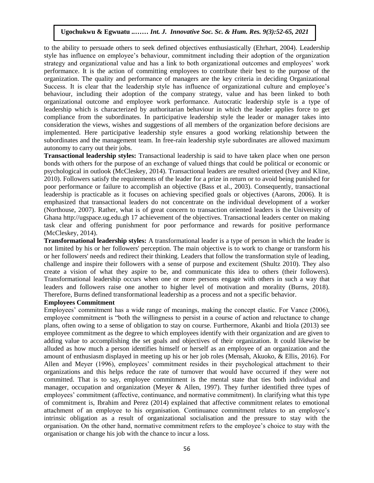to the ability to persuade others to seek defined objectives enthusiastically (Ehrhart, 2004). Leadership style has influence on employee's behaviour, commitment including their adoption of the organization style has influence on employee's behaviour, communent including their adoption of the organization<br>strategy and organizational value and has a link to both organizational outcomes and employees' work performance. It is the action of committing employees to contribute their best to the purpose of the organization. The quality and performance of managers are the key criteria in deciding Organizational Success. It is clear that the leadership style has influence of organizational culture and employee's behaviour, including their adoption of the company strategy, value and has been linked to both organizational outcome and employee work performance. Autocratic leadership style is a type of leadership which is characterized by authoritarian behaviour in which the leader applies force to get compliance from the subordinates. In participative leadership style the leader or manager takes into consideration the views, wishes and suggestions of all members of the organization before decisions are implemented. Here participative leadership style ensures a good working relationship between the subordinates and the management team. In free-rain leadership style subordinates are allowed maximum autonomy to carry out their jobs.

**Transactional leadership styles:** Transactional leadership is said to have taken place when one person bonds with others for the purpose of an exchange of valued things that could be political or economic or psychological in outlook (McCleskey, 2014). Transactional leaders are resulted oriented (Ivey and Kline, 2010). Followers satisfy the requirements of the leader for a prize in return or to avoid being punished for poor performance or failure to accomplish an objective (Bass et al., 2003). Consequently, transactional leadership is practicable as it focuses on achieving specified goals or objectives (Aarons, 2006). It is emphasized that transactional leaders do not concentrate on the individual development of a worker (Northouse, 2007). Rather, what is of great concern to transaction oriented leaders is the University of Ghana http://ugspace.ug.edu.gh 17 achievement of the objectives. Transactional leaders center on making task clear and offering punishment for poor performance and rewards for positive performance (McCleskey, 2014).

**Transformational leadership styles:** A transformational leader is a type of person in which the leader is not limited by his or her followers' perception. The main objective is to work to change or transform his or her followers' needs and redirect their thinking. Leaders that follow the transformation style of leading, challenge and inspire their followers with a sense of purpose and excitement (Shultz 2010). They also create a vision of what they aspire to be, and communicate this idea to others (their followers). Transformational leadership occurs when one or more persons engage with others in such a way that leaders and followers raise one another to higher level of motivation and morality (Burns, 2018). Therefore, Burns defined transformational leadership as a process and not a specific behavior.

#### **Employees Commitment**

Employees' commitment has a wide range of meanings, making the concept elastic. For Vance (2006), employee commitment is "both the willingness to persist in a course of action and reluctance to change plans, often owing to a sense of obligation to stay on course. Furthermore, Akanbi and Itiola (2013) see employee commitment as the degree to which employees identify with their organization and are given to adding value to accomplishing the set goals and objectives of their organization. It could likewise be alluded as how much a person identifies himself or herself as an employee of an organization and the amount of enthusiasm displayed in meeting up his or her job roles (Mensah, Akuoko, & Ellis, 2016). For Allen and Meyer (1996), employees' commitment resides in their psychological attachment to their organizations and this helps reduce the rate of turnover that would have occurred if they were not committed. That is to say, employee commitment is the mental state that ties both individual and manager, occupation and organization (Meyer & Allen, 1997). They further identified three types of employees' commitment (affective, continuance, and normative commitment). In clarifying what this type of commitment is, Ibrahim and Perez (2014) explained that affective commitment relates to emotional attachment of an employee to his organisation. Continuance commitment relates to an employee's intrinsic obligation as a result of organizational socialisation and the pressure to stay with the organisation. On the other hand, normative commitment refers to the employee's choice to stay with the organisation or change his job with the chance to incur a loss.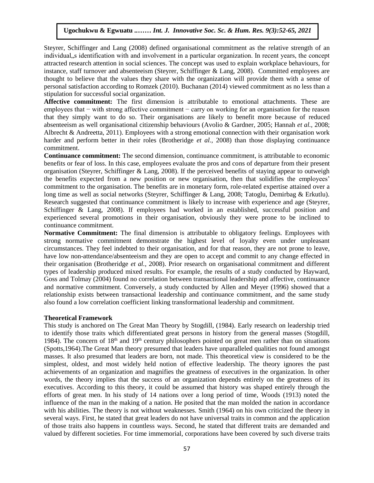Steyrer, Schiffinger and Lang (2008) defined organisational commitment as the relative strength of an individual, s identification with and involvement in a particular organization. In recent years, the concept attracted research attention in social sciences. The concept was used to explain workplace behaviours, for instance, staff turnover and absenteeism (Steyrer, Schiffinger & Lang, 2008). Committed employees are thought to believe that the values they share with the organization will provide them with a sense of personal satisfaction according to Romzek (2010). Buchanan (2014) viewed commitment as no less than a stipulation for successful social organization.

**Affective commitment:** The first dimension is attributable to emotional attachments. These are employees that – with strong affective commitment – carry on working for an organisation for the reason that they simply want to do so. Their organisations are likely to benefit more because of reduced absenteeism as well organisational citizenship behaviours (Avolio & Gardner, 2005; Hannah *et al.,* 2008; Albrecht & Andreetta, 2011). Employees with a strong emotional connection with their organisation work harder and perform better in their roles (Brotheridge et al., 2008) than those displaying continuance commitment.

**Continuance commitment:** The second dimension, continuance commitment, is attributable to economic benefits or fear of loss. In this case, employees evaluate the pros and cons of departure from their present benefits of real of loss. In this case, employees evaluate the pros and cons of departure from their present organisation (Steyrer, Schiffinger & Lang, 2008). If the perceived benefits of staying appear to outweigh the benefits expected from a new position or new organisation, then that solidifies the employees' commitment to the organisation. The benefits are in monetary form, role-related expertise attained over a long time as well as social networks (Steyrer, Schiffinger & Lang, 2008; Tatoglu, Demirbag & Erkutlu). Research suggested that continuance commitment is likely to increase with experience and age (Steyrer, Schiffinger & Lang, 2008). If employees had worked in an established, successful position and experienced several promotions in their organisation, obviously they were prone to be inclined to continuance commitment. Arugu Beveral promotions in their organisation, obviously they were

**Normative Commitment:** The final dimension is attributable to obligatory feelings. Employees with strong normative commitment demonstrate the highest level of loyalty even under unpleasant circumstances. They feel indebted to their organisation, and for that reason, they are not prone to leave, have low non-attendance/absenteeism and they are open to accept and commit to any change effected in their organisation (Brotheridge *et al.,* 2008). Prior research on organisational commitment and different types of leadership produced mixed results. For example, the results of a study conducted by Hayward, Goss and Tolmay (2004) found no correlation between transactional leadership and affective, continuance and normative commitment. Conversely, a study conducted by Allen and Meyer (1996) showed that a relationship exists between transactional leadership and continuance commitment, and the same study also found a low correlation coefficient linking transformational leadership and commitment.

#### **Theoretical Framework**

This study is anchored on The Great Man Theory by Stogdill, (1984). Early research on leadership tried to identify those traits which differentiated great persons in history from the general masses (Stogdill, 1984). The concern of 18th and 19th century philosophers pointed on great men rather than on situations (Spotts,1964).The Great Man theory presumed that leaders have unparalleled qualities not found amongst masses. It also presumed that leaders are born, not made. This theoretical view is considered to be the simplest, oldest, and most widely held notion of effective leadership. The theory ignores the past achievements of an organization and magnifies the greatness of executives in the organization. In other words, the theory implies that the success of an organization depends entirely on the greatness of its executives. According to this theory, it could be assumed that history was shaped entirely through the efforts of great men. In his study of 14 nations over a long period of time, Woods (1913) noted the influence of the man in the making of a nation. He posited that the man molded the nation in accordance with his abilities. The theory is not without weaknesses. Smith (1964) on his own criticized the theory in several ways. First, he stated that great leaders do not have universal traits in common and the application of those traits also happens in countless ways. Second, he stated that different traits are demanded and valued by different societies. For time immemorial, corporations have been covered by such diverse traits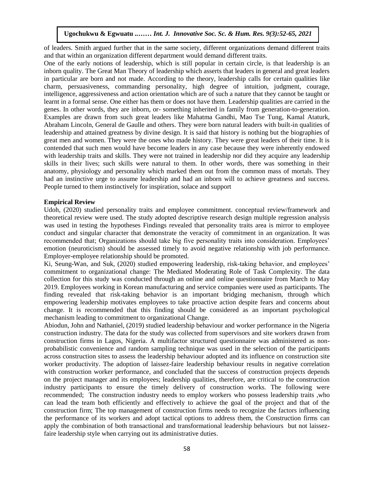of leaders. Smith argued further that in the same society, different organizations demand different traits and that within an organization different department would demand different traits.

One of the early notions of leadership, which is still popular in certain circle, is that leadership is an inborn quality. The Great Man Theory of leadership which asserts that leaders in general and great leaders in particular are born and not made. According to the theory, leadership calls for certain qualities like charm, persuasiveness, commanding personality, high degree of intuition, judgment, courage, intelligence, aggressiveness and action orientation which are of such a nature that they cannot be taught or learnt in a formal sense. One either has them or does not have them. Leadership qualities are carried in the genes. In other words, they are inborn, or- something inherited in family from generation-to-generation. Examples are drawn from such great leaders like Mahatma Gandhi, Mao Tse Tung, Kamal Ataturk, Abraham Lincoln, General de Gaulle and others. They were born natural leaders with built-in qualities of leadership and attained greatness by divine design. It is said that history is nothing but the biographies of great men and women. They were the ones who made history. They were great leaders of their time. It is contended that such men would have become leaders in any case because they were inherently endowed with leadership traits and skills. They were not trained in leadership nor did they acquire any leadership skills in their lives; such skills were natural to them. In other words, there was something in their anatomy, physiology and personality which marked them out from the common mass of mortals. They had an instinctive urge to assume leadership and had an inborn will to achieve greatness and success. People turned to them instinctively for inspiration, solace and support

#### **Empirical Review**   $\mathbf{A}$  . In the Montern society  $\mathbf{B}$  and  $\mathbf{B}$  and  $\mathbf{B}$

Udoh, (2020) studied personality traits and employee commitment. conceptual review/framework and theoretical review were used. The study adopted descriptive research design multiple regression analysis was used in testing the hypotheses Findings revealed that personality traits area is mirror to employee conduct and singular character that demonstrate the veracity of commitment in an organization. It was recommended that; Organizations should take big five personality traits into consideration. Employees' emotion (neuroticism) should be assessed timely to avoid negative relationship with job performance. Employer-employee relationship should be promoted.

Ki, Seung-Wan, and Suk, (2020) studied empowering leadership, risk-taking behavior, and employees' commitment to organizational change: The Mediated Moderating Role of Task Complexity. The data collection for this study was conducted through an online and online questionnaire from March to May 2019. Employees working in Korean manufacturing and service companies were used as participants. The finding revealed that risk-taking behavior is an important bridging mechanism, through which empowering leadership motivates employees to take proactive action despite fears and concerns about change. It is recommended that this finding should be considered as an important psychological mechanism leading to commitment to organizational Change.

Abiodun, John and Nathaniel, (2019) studied leadership behaviour and worker performance in the Nigeria construction industry. The data for the study was collected from supervisors and site workers drawn from construction firms in Lagos, Nigeria. A multifactor structured questionnaire was administered as nonprobabilistic convenience and random sampling technique was used in the selection of the participants across construction sites to assess the leadership behaviour adopted and its influence on construction site worker productivity. The adoption of laissez-faire leadership behaviour results in negative correlation with construction worker performance, and concluded that the success of construction projects depends on the project manager and its employees; leadership qualities, therefore, are critical to the construction industry participants to ensure the timely delivery of construction works. The following were recommended; The construction industry needs to employ workers who possess leadership traits ,who can lead the team both efficiently and effectively to achieve the goal of the project and that of the construction firm; The top management of construction firms needs to recognize the factors influencing the performance of its workers and adopt tactical options to address them, the Construction firms can apply the combination of both transactional and transformational leadership behaviours but not laissezfaire leadership style when carrying out its administrative duties.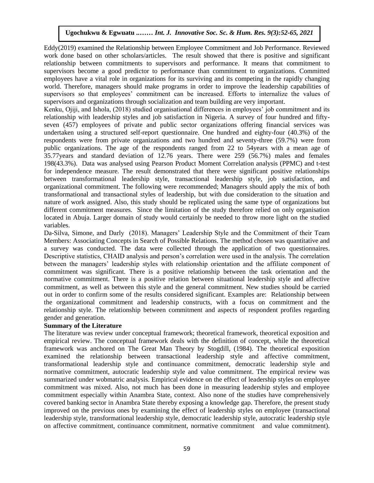Eddy(2019) examined the Relationship between Employee Commitment and Job Performance. Reviewed work done based on other scholars/articles. The result showed that there is positive and significant relationship between commitments to supervisors and performance. It means that commitment to supervisors become a good predictor to performance than commitment to organizations. Committed employees have a vital role in organizations for its surviving and its competing in the rapidly changing world. Therefore, managers should make programs in order to improve the leadership capabilities of supervisors so that employees' commitment can be increased. Efforts to internalize the values of supervisors and organizations through socialization and team building are very important.

Kenku, Ojiji, and Ishola, (2018) studied organisational differences in employees' job commitment and its relationship with leadership styles and job satisfaction in Nigeria. A survey of four hundred and fiftyseven (457) employees of private and public sector organizations offering financial services was undertaken using a structured self-report questionnaire. One hundred and eighty-four (40.3%) of the respondents were from private organizations and two hundred and seventy-three (59.7%) were from public organizations. The age of the respondents ranged from 22 to 54years with a mean age of 35.77years and standard deviation of 12.76 years. There were 259 (56.7%) males and females 198(43.3%). Data was analysed using Pearson Product Moment Correlation analysis (PPMC) and t-test for independence measure. The result demonstrated that there were significant positive relationships between transformational leadership style, transactional leadership style, job satisfaction, and organizational commitment. The following were recommended; Managers should apply the mix of both transformational and transactional styles of leadership, but with due consideration to the situation and nature of work assigned. Also, this study should be replicated using the same type of organizations but different commitment measures. Since the limitation of the study therefore relied on only organisation located in Abuja. Larger domain of study would certainly be needed to throw more light on the studied variables.  $-2$ S.

Da-Silva, Simone, and Darly (2018). Managers' Leadership Style and the Commitment of their Team Members: Associating Concepts in Search of Possible Relations. The method chosen was quantitative and a survey was conducted. The data were collected through the application of two questionnaires. Descriptive statistics, CHAID analysis and person's correlation were used in the analysis. The correlation between the managers' leadership styles with relationship orientation and the affiliate component of commitment was significant. There is a positive relationship between the task orientation and the normative commitment. There is a positive relation between situational leadership style and affective commitment, as well as between this style and the general commitment. New studies should be carried out in order to confirm some of the results considered significant. Examples are: Relationship between the organizational commitment and leadership constructs, with a focus on commitment and the relationship style. The relationship between commitment and aspects of respondent profiles regarding gender and generation.

# **Summary of the Literature**

The literature was review under conceptual framework; theoretical framework, theoretical exposition and empirical review. The conceptual framework deals with the definition of concept, while the theoretical framework was anchored on The Great Man Theory by Stogdill, (1984). The theoretical exposition examined the relationship between transactional leadership style and affective commitment, transformational leadership style and continuance commitment, democratic leadership style and normative commitment, autocratic leadership style and value commitment. The empirical review was summarized under wobmatric analysis. Empirical evidence on the effect of leadership styles on employee commitment was mixed. Also, not much has been done in measuring leadership styles and employee commitment especially within Anambra State, context. Also none of the studies have comprehensively covered banking sector in Anambra State thereby exposing a knowledge gap. Therefore, the present study improved on the previous ones by examining the effect of leadership styles on employee (transactional leadership style, transformational leadership style, democratic leadership style, autocratic leadership style on affective commitment, continuance commitment, normative commitment and value commitment).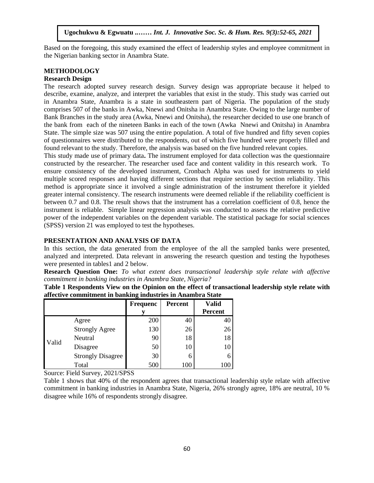Based on the foregoing, this study examined the effect of leadership styles and employee commitment in the Nigerian banking sector in Anambra State.

#### **METHODOLOGY**

#### **Research Design**

The research adopted survey research design. Survey design was appropriate because it helped to describe, examine, analyze, and interpret the variables that exist in the study. This study was carried out in Anambra State, Anambra is a state in southeastern part of Nigeria. The population of the study comprises 507 of the banks in Awka, Nnewi and Onitsha in Anambra State. Owing to the large number of Examples of the stands in Franch, the will also singular intended stated of this computer of Bank Branches in the study area (Awka, Nnewi and Onitsha), the researcher decided to use one branch of the bank from each of the nineteen Banks in each of the town (Awka Nnewi and Onitsha) in Anambra State. The simple size was 507 using the entire population. A total of five hundred and fifty seven copies of questionnaires were distributed to the respondents, out of which five hundred were properly filled and found relevant to the study. Therefore, the analysis was based on the five hundred relevant copies.

This study made use of primary data**.** The instrument employed for data collection was the questionnaire constructed by the researcher. The researcher used face and content validity in this research work. To ensure consistency of the developed instrument, Cronbach Alpha was used for instruments to yield multiple scored responses and having different sections that require section by section reliability. This method is appropriate since it involved a single administration of the instrument therefore it yielded greater internal consistency. The research instruments were deemed reliable if the reliability coefficient is between 0.7 and 0.8. The result shows that the instrument has a correlation coefficient of 0.8, hence the instrument is reliable. Simple linear regression analysis was conducted to assess the relative predictive power of the independent variables on the dependent variable. The statistical package for social sciences  $(SPSS)$  version 21 was employed to test the hypotheses.

#### **PRESENTATION AND ANALYSIS OF DATA**

In this section, the data generated from the employee of the all the sampled banks were presented, analyzed and interpreted. Data relevant in answering the research question and testing the hypotheses were presented in tables1 and 2 below.

**Research Question One:** *To what extent does transactional leadership style relate with affective commitment in banking industries in Anambra State, Nigeria?*

| anctive communities in banking muusities in Anambia State |                          |                 |                |                |  |  |
|-----------------------------------------------------------|--------------------------|-----------------|----------------|----------------|--|--|
|                                                           |                          | <b>Frequenc</b> | <b>Percent</b> | Valid          |  |  |
|                                                           |                          |                 |                | <b>Percent</b> |  |  |
| Valid                                                     | Agree                    | 200             | 40             | 40             |  |  |
|                                                           | <b>Strongly Agree</b>    | 130             | 26             | 26             |  |  |
|                                                           | Neutral                  | 90              | 18             | 18             |  |  |
|                                                           | Disagree                 | 50              | 10             | 10             |  |  |
|                                                           | <b>Strongly Disagree</b> | 30              |                |                |  |  |
|                                                           | Total                    | 500             | 100            |                |  |  |

**Table 1 Respondents View on the Opinion on the effect of transactional leadership style relate with affective commitment in banking industries in Anambra State**

Source: Field Survey, 2021/SPSS

Table 1 shows that 40% of the respondent agrees that transactional leadership style relate with affective commitment in banking industries in Anambra State, Nigeria, 26% strongly agree, 18% are neutral, 10 % disagree while 16% of respondents strongly disagree.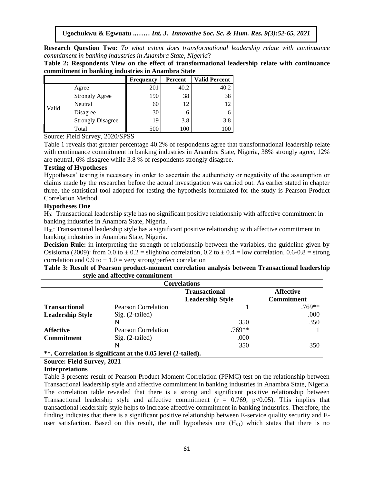**Research Question Two:** *To what extent does transformational leadership relate with continuance commitment in banking industries in Anambra State, Nigeria*?

**Table 2: Respondents View on the effect of transformational leadership relate with continuance commitment in banking industries in Anambra State**

|       |                          | <b>Frequency</b> | Percent | <b>Valid Percent</b> |
|-------|--------------------------|------------------|---------|----------------------|
| Valid | Agree                    | 201              | 40.2    | 40.2                 |
|       | <b>Strongly Agree</b>    | 190              | 38      | 38                   |
|       | Neutral                  | 60               | 12      | 12                   |
|       | Disagree                 | 30               | O       | n                    |
|       | <b>Strongly Disagree</b> | 19               | 3.8     | 3.8                  |
|       | Total                    | 500              | 100     | 100                  |

Source: Field Survey, 2020/SPSS

Table 1 reveals that greater percentage 40.2% of respondents agree that transformational leadership relate with continuance commitment in banking industries in Anambra State, Nigeria, 38% strongly agree, 12% are neutral, 6% disagree while 3.8 % of respondents strongly disagree.

# **Testing of Hypotheses**

**Testing of Hypotheses**<br>Hypotheses' testing is necessary in order to ascertain the authenticity or negativity of the assumption or claims made by the researcher before the actual investigation was carried out. As earlier stated in chapter three, the statistical tool adopted for testing the hypothesis formulated for the study is Pearson Product Correlation Method.

#### **Hypotheses One**

H0: Transactional leadership style has no significant positive relationship with affective commitment in banking industries in Anambra State, Nigeria.

banking muusures in Anamora State, Nigeria.<br>H<sub>01</sub>: Transactional leadership style has a significant positive relationship with affective commitment in banking industries in Anambra State, Nigeria.

**Decision Rule:** in interpreting the strength of relationship between the variables, the guideline given by Osisioma (2009): from 0.0 to  $\pm$  0.2 = slight/no correlation, 0.2 to  $\pm$  0.4 = low correlation, 0.6-0.8 = strong correlation and  $0.9$  to  $\pm 1.0$  = very strong/perfect correlation

| Table 3: Result of Pearson product-moment correlation analysis between Transactional leadership |  |  |
|-------------------------------------------------------------------------------------------------|--|--|
| style and affective commitment                                                                  |  |  |

| <b>Correlations</b>     |                                                              |                         |                   |  |  |
|-------------------------|--------------------------------------------------------------|-------------------------|-------------------|--|--|
|                         |                                                              | <b>Transactional</b>    | <b>Affective</b>  |  |  |
|                         |                                                              | <b>Leadership Style</b> | <b>Commitment</b> |  |  |
| <b>Transactional</b>    | Pearson Correlation                                          |                         | $.769**$          |  |  |
| <b>Leadership Style</b> | $Sig. (2-tailed)$                                            |                         | .000              |  |  |
|                         | N                                                            | 350                     | 350               |  |  |
| <b>Affective</b>        | <b>Pearson Correlation</b>                                   | $.769**$                |                   |  |  |
| <b>Commitment</b>       | $Sig. (2-tailed)$                                            | .000                    |                   |  |  |
|                         |                                                              | 350                     | 350               |  |  |
|                         | **. Correlation is significant at the 0.05 level (2-tailed). |                         |                   |  |  |

# **Source: Field Survey, 2021**

#### **Interpretations**

Table 3 presents result of Pearson Product Moment Correlation (PPMC) test on the relationship between Transactional leadership style and affective commitment in banking industries in Anambra State, Nigeria. The correlation table revealed that there is a strong and significant positive relationship between Transactional leadership style and affective commitment ( $r = 0.769$ ,  $p < 0.05$ ). This implies that transactional leadership style helps to increase affective commitment in banking industries. Therefore, the finding indicates that there is a significant positive relationship between E-service quality security and Euser satisfaction. Based on this result, the null hypothesis one  $(H<sub>01</sub>)$  which states that there is no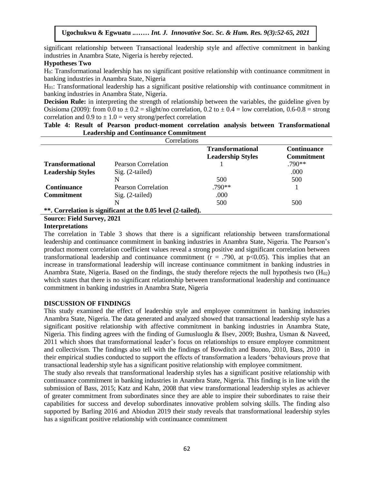significant relationship between Transactional leadership style and affective commitment in banking industries in Anambra State, Nigeria is hereby rejected.<br>Hynotheses Two

#### **Hypotheses Two**

H0: Transformational leadership has no significant positive relationship with continuance commitment in banking industries in Anambra State, Nigeria

 $H<sub>01</sub>$ : Transformational leadership has a significant positive relationship with continuance commitment in banking industries in Anambra State, Nigeria.

**Decision Rule:** in interpreting the strength of relationship between the variables, the guideline given by Osisioma (2009): from  $\overline{0.0}$  to  $\pm 0.2$  = slight/no correlation,  $0.2$  to  $\pm 0.4$  = low correlation,  $0.6$ - $0.8$  = strong correlation and  $0.9$  to  $\pm 1.0$  = very strong/perfect correlation

|                                              |  |  |  |  |              |  |  | Table 4: Result of Pearson product-moment correlation analysis between Transformational |
|----------------------------------------------|--|--|--|--|--------------|--|--|-----------------------------------------------------------------------------------------|
| <b>Leadership and Continuance Commitment</b> |  |  |  |  |              |  |  |                                                                                         |
|                                              |  |  |  |  | Correlations |  |  |                                                                                         |

| <b>Transformational</b><br><b>Continuance</b><br><b>Commitment</b><br><b>Leadership Styles</b> | Correlations |  |  |  |  |  |  |
|------------------------------------------------------------------------------------------------|--------------|--|--|--|--|--|--|
|                                                                                                |              |  |  |  |  |  |  |
| $.790**$<br>Pearson Correlation<br><b>Transformational</b>                                     |              |  |  |  |  |  |  |
| .000<br>$Sig. (2-tailed)$<br><b>Leadership Styles</b>                                          |              |  |  |  |  |  |  |
| 500<br>500<br>N                                                                                |              |  |  |  |  |  |  |
| $.790**$<br><b>Pearson Correlation</b><br><b>Continuance</b>                                   |              |  |  |  |  |  |  |
| .000<br>$Sig. (2-tailed)$<br><b>Commitment</b>                                                 |              |  |  |  |  |  |  |
| 500<br>500<br>N                                                                                |              |  |  |  |  |  |  |
| **. Correlation is significant at the 0.05 level (2-tailed).                                   |              |  |  |  |  |  |  |

**Source: Field Survey, 2021**

# **Interpretations**

The correlation in Table 3 shows that there is a significant relationship between transformational leadership and continuance commitment in banking industries in Anambra State, Nigeria. The Pearson's product moment correlation coefficient values reveal a strong positive and significant correlation between transformational leadership and continuance commitment ( $r = .790$ , at  $p < 0.05$ ). This implies that an increase in transformational leadership will increase continuance commitment in banking industries in Anambra State, Nigeria. Based on the findings, the study therefore rejects the null hypothesis two  $(H_{02})$ which states that there is no significant relationship between transformational leadership and continuance commitment in banking industries in Anambra State, Nigeria

# **DISCUSSION OF FINDINGS**

This study examined the effect of leadership style and employee commitment in banking industries Anambra State, Nigeria. The data generated and analyzed showed that transactional leadership style has a significant positive relationship with affective commitment in banking industries in Anambra State, Nigeria. This finding agrees with the finding of Gumusluoglu & Ilsev, 2009; Bushra, Usman & Naveed, 2011 which shoes that transformational leader's focus on relationships to ensure employee commitment and collectivism. The findings also tell with the findings of Bowditch and Buono, 2010, Bass, 2010 in their empirical studies conducted to support the effects of transformation a leaders 'behaviours prove that transactional leadership style has a significant positive relationship with employee commitment.

The study also reveals that transformational leadership styles has a significant positive relationship with continuance commitment in banking industries in Anambra State, Nigeria. This finding is in line with the submission of Bass, 2015; Katz and Kahn, 2008 that view transformational leadership styles as achiever of greater commitment from subordinates since they are able to inspire their subordinates to raise their capabilities for success and develop subordinates innovative problem solving skills. The finding also supported by Barling 2016 and Abiodun 2019 their study reveals that transformational leadership styles has a significant positive relationship with continuance commitment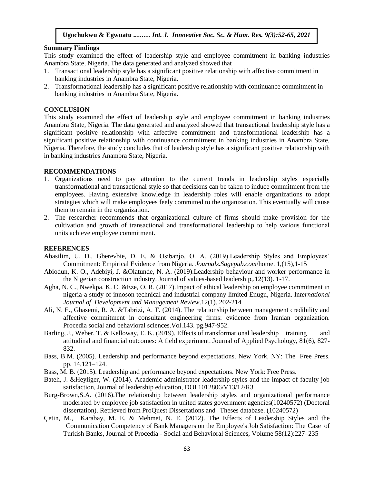# **Summary Findings**

This study examined the effect of leadership style and employee commitment in banking industries Anambra State, Nigeria. The data generated and analyzed showed that

- 1. Transactional leadership style has a significant positive relationship with affective commitment in banking industries in Anambra State, Nigeria.
- 2. Transformational leadership has a significant positive relationship with continuance commitment in herbite in Arque St. Words banking industries in Anambra State, Nigeria.

#### **CONCLUSION**

This study examined the effect of leadership style and employee commitment in banking industries Anambra State, Nigeria. The data generated and analyzed showed that transactional leadership style has a significant positive relationship with affective commitment and transformational leadership has a significant positive relationship with continuance commitment in banking industries in Anambra State, Significant positive relationship with continuance communicity in danking measures in Financia Batte,<br>Nigeria. Therefore, the study concludes that of leadership style has a significant positive relationship with in banking industries Anambra State, Nigeria.

# **RECOMMENDATIONS**

- 1. Organizations need to pay attention to the current trends in leadership styles especially transformational and transactional style so that decisions can be taken to induce commitment from the employees. Having extensive knowledge in leadership roles will enable organizations to adopt emproyees. The ing encentric this weege in teachering tores will enable eigenmentations to adopt them to remain in the organization.
- 2. The researcher recommends that organizational culture of firms should make provision for the cultivation and growth of transactional and transformational leadership to help various functional units achieve employee commitment.

### **REFERENCES**

- Abasilim, U. D., Gberevbie, D. E. & Osibanjo, O. A. (2019).Leadership Styles and Employees' Commitment: Empirical Evidence from Nigeria. *Journals.Sagepub.com*/home. 1,(15),1-15
- Abiodun, K. O., Adebiyi, J. &Olatunde, N. A. (2019).Leadership behaviour and worker performance in the Nigerian construction industry. Journal of values-based leadership,.12(13). 1-17.
- Agha, N. C., Nwekpa, K. C. &Eze, O. R. (2017).Impact of ethical leadership on employee commitment in nigeria-a study of innoson technical and industrial company limited Enugu, Nigeria. In*ternational Journal of Development and Management Review*.12(1)..202-214
- Ali, N. E., Ghasemi, R. A. &Tabrizi, A. T. (2014). The relationship between management credibility and affective commitment in consultant engineering firms: evidence from Iranian organization. Procedia social and behavioral sciences.Vol.143. pg.947-952.
- Barling, J., Weber, T. & Kelloway, E. K. (2019). Effects of transformational leadership training and attitudinal and financial outcomes: A field experiment. Journal of Applied Psychology, 81(6), 827- 832.
- Bass, B.M. (2005). Leadership and performance beyond expectations. New York, NY: The Free Press. pp. 14,121–124.
- Bass, M. B. (2015). Leadership and performance beyond expectations. New York: Free Press.
- Bateh, J. &Heyliger, W. (2014). Academic administrator leadership styles and the impact of faculty job satisfaction, Journal of leadership education, DOI 1012806/V13/12/R3
- Burg-Brown,S.A. (2016).The relationship between leadership styles and organizational performance moderated by employee job satisfaction in united states government agencies(10240572) (Doctoral dissertation). Retrieved from ProQuest Dissertations and Theses database. (10240572)
- Çetin, M., Karabay, M. E. & Mehmet, N. E. (2012). The Effects of Leadership Styles and the Communication Competency of Bank Managers on the Employee's Job Satisfaction: The Case of Turkish Banks, Journal of Procedia - Social and Behavioral Sciences, Volume 58(12):227–235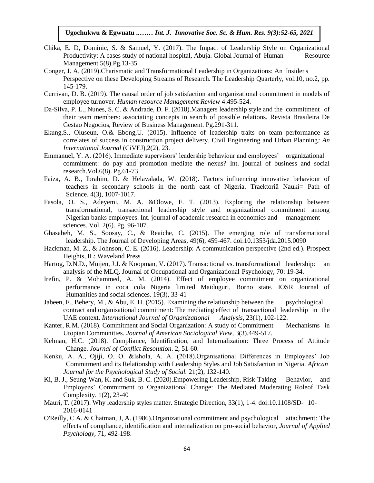- Chika, E. D, Dominic, S. & Samuel, Y. (2017). The Impact of Leadership Style on Organizational Productivity: A cases study of national hospital, Abuja. Global Journal of Human Resource  $M$ anagement  $5(8)$ . $Pg.13-35$
- Conger, J. A. (2019).Charismatic and Transformational Leadership in Organizations: An Insider's Perspective on these Developing Streams of Research. The Leadership Quarterly, vol.10, no.2, pp. 145-179.  $145-179.$
- Currivan, D. B. (2019). The causal order of job satisfaction and organizational commitment in models of employee turnover. *Human resource Management Review* 4:495-524.
- Da-Silva, P. L., Nunes, S. C. & Andrade, D. F. (2018).Managers leadership style and the commitment of their team members: associating concepts in search of possible relations. Revista Brasileira De Gestao Negocios, Review of Business Management. Pg.291-311.
- Ekung,S., Oluseun, O.& Ebong,U. (2015). Influence of leadership traits on team performance as correlates of success in construction project delivery. Civil Engineering and Urban Planning: An *International Journal* (CiVEJ),2(2), 23.
- Emmanuel, Y. A. (2016). Immediate supervisors' leadership behaviour and employees' organizational commitment: do pay and promotion mediate the nexus? Int. journal of business and social  $r = \text{research.Vol.6}(8)$ .  $Pg.61-73$
- Faiza, A. B., Ibrahim, D. & Helavalada, W. (2018). Factors influencing innovative behaviour of teachers in secondary schools in the north east of Nigeria. Traektoriâ Nauki= Path of Science. 4(3), 1007-1017.
- Science. 4(3), 1007-1017.<br>Fasola, O. S., Adeyemi, M. A. & Olowe, F. T. (2013). Exploring the relationship between transformational, transactional leadership style and organizational commitment among Nigerian banks employees. Int. journal of academic research in economics and management sciences. Vol.  $2(6)$ . Pg.  $96-107$ .
- Ghasabeh, M. S., Soosay, C., & Reaiche, C. (2015). The emerging role of transformational leadership. The Journal of Developing Areas, 49(6), 459-467. doi:10.1353/jda.2015.0090
- Hackman, M. Z., & Johnson, C. E. (2016). Leadership: A communication perspective (2nd ed.). Prospect Heights, IL: Waveland Press
- Hartog, D.N.D., Muijen, J.J. & Koopman, V. (2017). Transactional vs. transformational leadership: an analysis of the MLQ. Journal of Occupational and Organizational Psychology, 70: 19-34.
- Irefin, P. & Mohammed, A. M. (2014). Effect of employee commitment on organizational performance in coca cola Nigeria limited Maiduguri, Borno state. IOSR Journal of Humanities and social sciences. 19(3), 33-41
- Jabeen, F., Behery, M., & Abu, E. H. (2015). Examining the relationship between the psychological contract and organisational commitment: The mediating effect of transactional leadership in the UAE context. *International Journal of Organizational Analysis*, 23(1), 102-122.
- Kanter, R.M. (2018). Commitment and Social Organization: A study of Commitment Mechanisms in Utopian Communities. *Journal of American Sociological View*, 3(3).449-517.
- Kelman, H.C. (2018). Compliance, Identification, and Internalization: Three Process of Attitude Change. *Journal of Conflict Resolution*. 2, 51-60.
- Kenku, A. A., Ojiji, O. O. &Ishola, A. A. (2018).Organisational Differences in Employees' Job Commitment and its Relationship with Leadership Styles and Job Satisfaction in Nigeria. *African Journal for the Psychological Study of Social.* 21(2), 132-140.
- Ki, B. J., Seung-Wan, K. and Suk, B. C. (2020). Empowering Leadership, Risk-Taking Behavior, and Employees' Commitment to Organizational Change: The Mediated Moderating Roleof Task Complexity. 1(2), 23-40
- Mauri, T. (2017). Why leadership styles matter. Strategic Direction, 33(1), 1-4. doi:10.1108/SD- 10- 2016-0141
- O'Reilly, C A. & Chatman, J, A. (1986).Organizational commitment and psychological attachment: The effects of compliance, identification and internalization on pro-social behavior, *Journal of Applied Psychology,* 71, 492-198.